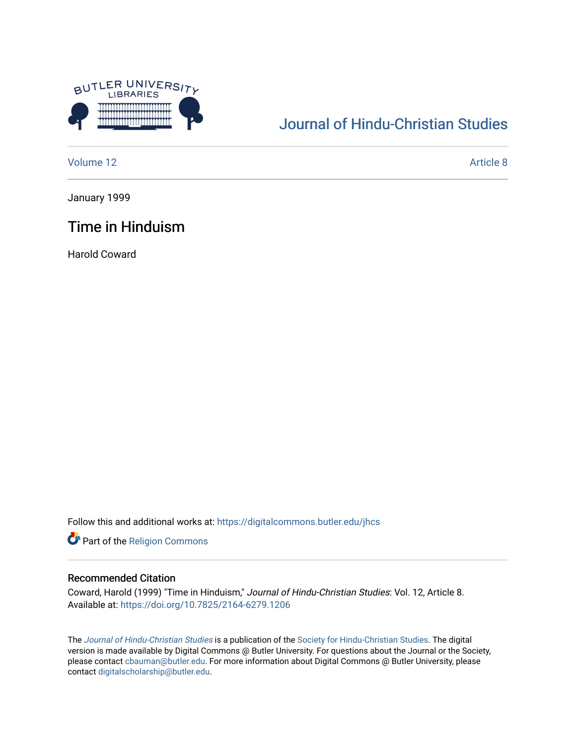

# [Journal of Hindu-Christian Studies](https://digitalcommons.butler.edu/jhcs)

[Volume 12](https://digitalcommons.butler.edu/jhcs/vol12) Article 8

January 1999

## Time in Hinduism

Harold Coward

Follow this and additional works at: [https://digitalcommons.butler.edu/jhcs](https://digitalcommons.butler.edu/jhcs?utm_source=digitalcommons.butler.edu%2Fjhcs%2Fvol12%2Fiss1%2F8&utm_medium=PDF&utm_campaign=PDFCoverPages)

Part of the [Religion Commons](http://network.bepress.com/hgg/discipline/538?utm_source=digitalcommons.butler.edu%2Fjhcs%2Fvol12%2Fiss1%2F8&utm_medium=PDF&utm_campaign=PDFCoverPages)

## Recommended Citation

Coward, Harold (1999) "Time in Hinduism," Journal of Hindu-Christian Studies: Vol. 12, Article 8. Available at:<https://doi.org/10.7825/2164-6279.1206>

The [Journal of Hindu-Christian Studies](https://digitalcommons.butler.edu/jhcs) is a publication of the [Society for Hindu-Christian Studies](http://www.hcstudies.org/). The digital version is made available by Digital Commons @ Butler University. For questions about the Journal or the Society, please contact [cbauman@butler.edu](mailto:cbauman@butler.edu). For more information about Digital Commons @ Butler University, please contact [digitalscholarship@butler.edu](mailto:digitalscholarship@butler.edu).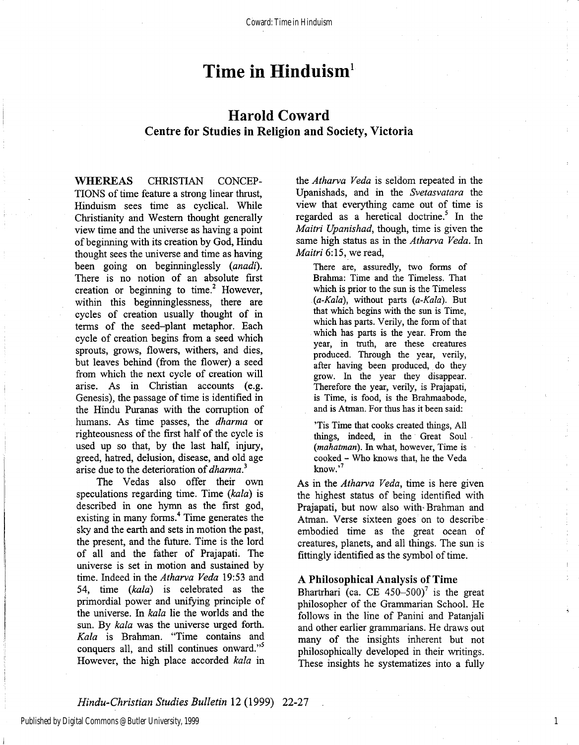# **Time in Hinduism!**

## Harold Coward Centre for Studies in Religion and Society, Victoria

WHEREAS CHRISTIAN CONCEP-TIONS of time feature a strong linear thrust, Hinduism sees time as cyclical. While Christianity and Western thought generally view time and the universe as having a point of beginning with its creation by God, Hindu thought sees the universe and time as having been going on beginninglessly *(anadi).*  There is no notion of an absolute first creation or beginning to time.<sup>2</sup> However, within this beginninglessness, there are cycles of creation usually thought of in terms of the seed-plant metaphor. Each cycle of creation begins from a seed which sprouts, grows, flowers, withers, and dies, but leaves behind (from the flower) a seed from which the next cycle of creation will arise. As in Christian accounts (e.g. Genesis), the passage of time is identified in the Hindu Puranas with the corruption of humans. As time passes, the *dharma* or righteousness of the first half of the cycle is used up so that, by the last half, injury, greed, hatred, delusion, disease, and old age arise due to the deterioration of *dharma. <sup>3</sup>*

The Vedas also offer their own speculations regarding time. Time *(kala)* is described in one hymn as the first god, existing in many forms.<sup>4</sup> Time generates the sky and the earth and sets in motion the past, the present, and the future. Time is the lord of all and the father of Prajapati. The universe is set in motion and sustained by time. Indeed in the *Atharva Veda* 19:53 and 54, time *(kala)* is celebrated as the primordial power and unifying principle of the universe. In *kala* lie the worlds and the sun. By *kala* was the universe urged forth. *Kala* is Brahman. "Time contains and conquers all, and still continues onward."<sup>5</sup> However, the high place accorded *kala* in the *Atharva Veda* is seldom repeated in the Upanishads, and in the *Svetasvatara* the view that everything came out of time is regarded as a heretical doctrine.<sup>5</sup> In the *Maitri Upanishad,* though, time is given the same high status as in the *Atharva Veda.* In *Maitri* 6:15, we read,

There are, assuredly, two forms of Brahma: Time and the Timeless. That which is prior to the sun is the Timeless *(a-Kala),* without parts *(a-Kala).* But that which begins with the sun is Time, which has parts. Verily, the form of that which has parts is the year. From the year, in truth, are these creatures produced. Through the year, verily, after having been produced, do they grow. In the year they disappear. Therefore the year, verily, is Prajapati, is Time, is food, is the Brahmaabode, and is Atman. For thus has it been said:

'Tis Time that cooks created things, All things, indeed, in the Great Soul *(mahatman).* In what, however, Time is cooked - Who knows that, he the Veda knoW.'7

As in the *Atharva Veda,* time is here given the highest status of being identified with Prajapati, but now also with Brahman and Atman. Verse sixteen goes on to describe embodied time as the great ocean of creatures, planets, and all things. The sun is fittingly identified as the symbol of time.

### A Philosophical Analysis of Time

Bhartrhari (ca. CE  $450-500$ )<sup>7</sup> is the great philosopher of the Grammarian School. He follows in the line of Panini and Patanjali and other earlier grammarians. He draws out many of the insights inherent but not philosophically developed in their writings. These insights he systematizes into a fully

1

*Hindu-Christian Studies Bulletin* 12 (1999) 22-27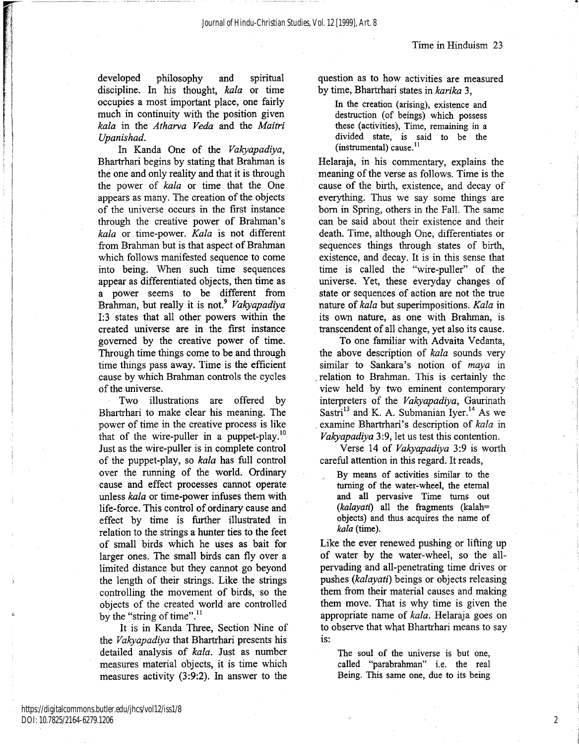developed philosophy and spiritual discipline. In his thought, *kala* or time occupies a most important place, one fairly much in continuity with the position given *kala* in the *Atharva Veda* and the *Maitri Upanishad.* 

In Kanda One of the *Vakyapadiya,*  Bhartrhari begins by stating that Brahman is the one and only reality and that it is through the power of *kala* or time that the One appears as many. The creation of the objects of the universe occurs in the first instance through the creative power of Brahman's *kala* or time-power. *Kala* is not different from Brahman but is that aspect of Brahman which follows manifested sequence to come into being. When such time sequences appear as differentiated objects, then time as a power seems to be different from Brahman, but really it is not.<sup>9</sup> Vakyapadiya 1:3 states that all other powers within the created universe are in the first instance governed by the creative power of time. Through time things come to be and through time things pass away. Time is the efficient cause by which Brahman controls the cycles of the universe.

Two illustrations are offered by Bhartrhari to make clear his meaning. The power of time in the creative process is like that of the wire-puller in a puppet-play.<sup>10</sup> Just as the wire-puller is in complete control of the puppet-play, so *kala* has full control over the running of the world. Ordinary cause and effect processes cannot operate unless *kala* or time-power infuses them with life-force. This control of ordinary cause and effect by time is further illustrated in' relation to the strings a hunter ties to the feet of small birds which he uses as bait for larger ones. The small birds can fly over a limited distance but they cannot go beyond the length of their strings. Like the strings controlling the movement of birds, so the objects of the created world are controlled by the "string of time". $^{11}$ 

It is in Kanda Three, Section Nine of the *Vakyapadiya* that Bhartrhari presents his detailed analysis of *kala.* Just as number measures material objects, it is time which measures activity (3:9:2). In answer to the

question as to how activities are measured by time, Bhartrhari states in *karika 3,* 

In the creation (arising), existence and destruction (of beings) which possess these (activities), Time, remaining in a divided state, is said to be the (instrumental) cause.<sup>11</sup>

Helaraja, in his commentary, explains the meaning of the verse as follows. Time is the cause of the birth, existence, and decay of everything. Thus we say some things are born in Spring, others in the Fall. The same can be said about their existence and their death. Time, although One, differentiates or sequences things through states of birth, existence, and decay. It is in this sense that time is called the "wire-puller" of the universe. Yet, these everyday changes of state or sequences of action are not the true nature of *kala* but superimpositions. *Kala* in its own nature, as one with Brahman, is transcendent of all change, yet also its cause.

To one familiar with Advaita Vedanta, the above description of *kala* sounds very similar to Sankara's notion of *maya* in relation to Brahman. This is certainly the view held by two eminent contemporary interpreters of the *Vakyapadiya,* Gaurinath Sastri<sup>13</sup> and K. A. Submanian Iyer.<sup>14</sup> As we examine Bhartrhari's description of kala in *Vakyapadiya* 3:9, let us test this contention.

Verse 14 of *Vakyapadiya* 3:9 is worth careful attention in this regard. It reads,

By means of activities similar to the turning of the water-wheel, the eternal and all pervasive Time turns out *(kalayati)* all the fragments (kalah= objects) and thus acquires the name of *kala* (time).

Like the ever renewed pushing or lifting up of water by the water-wheel, so the allpervading and all-penetrating time drives or pushes *(kalayati)* beings or objects releasing them from their material causes and making them move. That is why time is given the appropriate name of *kala.* Helaraja goes on to observe that what Bhartrhari means to say is:

The soul of the universe is but one, called "parabrahrnan" i.e. the real Being. This same one, due to its being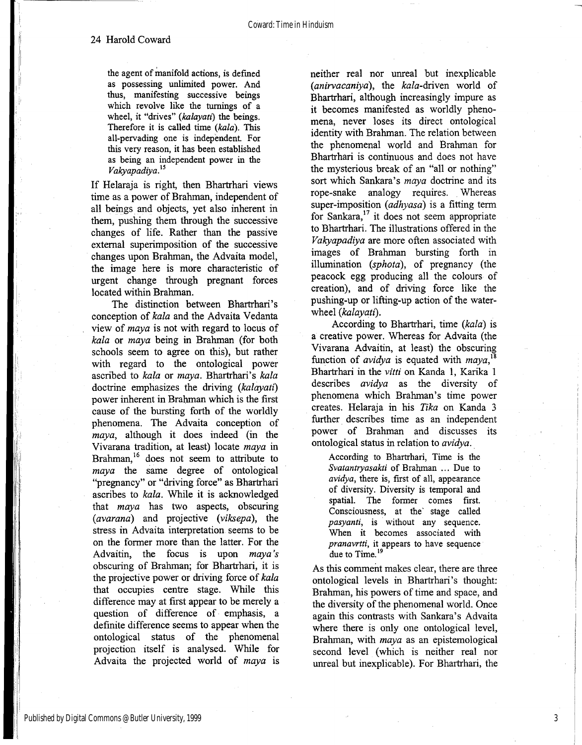the agent of manifold actions, is defined as possessing unlimited power. And thus, manifesting successive beings which revolve like the turnings of a wheel, it "drives" *(kalayati)* the beings. Therefore it is called time *(kala).* This all-pervading one is independent. For this very reason, it has been established as being an independent power in the *Vakyapadiya. 1S* 

If Helaraja is right, then Bhartrhari views time as a power of Brahman, independent of all beings and objects, yet also inherent in them, pushing them through the successive changes of life. Rather than the passive external superimposition of the successive changes upon Brahman, the Advaita model, the image here is more characteristic of urgent change through pregnant forces located within Brahman.

The distinction between Bhartrhari's conception of *kala* and the Advaita Vedanta view of *maya* is not with regard to locus of *kala* or *maya* being in Brahman (for both schools seem to agree on this), but rather with regard to the ontological power ascribed to *kala* or *maya.* Bhartrhari's *kala*  doctrine emphasizes the driving *(kalayati)*  power inherent in Brahman which is the first cause of the bursting forth of the worldly phenomena. The Advaita conception of *maya,* although it does indeed (in the Vivarana tradition, at least) locate *maya* in Brahman,<sup>16</sup> does not seem to attribute to *maya* the same degree of ontological "pregnancy" or "driving force" as Bhartrhari ascribes to *kala.* While it is acknowledged that *maya* has two aspects, obscuring *(avarana)* and projective *(viksepa),* the stress in Advaita interpretation seems to be on the former more than the latter. For the Advaitin, the focus is upon *maya's*  obscuring of Brahman; for Bhartrhari, it is the projective power or driving force of *kala*  that occupies centre stage. While this difference may at first appear to be merely a question of difference of emphasis, a definite difference seems to appear when the ontological status of the phenomenal projection itself is analysed. While for Advaita the projected world of *maya* is neither real nor unreal but inexplicable *(anirvacaniya),* the *kala-driven* world of Bhartrhari, although increasingly impure as it becomes manifested as worldly phenomena, never loses its direct ontological identity with Brahman. The relation between the phenomenal world and Brahman for Bhartrhari is continuous and does not have the mysterious break of an "all or nothing" sort which Sankara's *maya* doctrine and its rope-snake analogy requires. Whereas super-imposition *(adhyasa)* is a fitting term for Sankara,17 it does not seem appropriate to Bhartrhari. The illustrations offered in the *Vakyapadiya* are more often associated with images of Brahman bursting forth in illumination *(sphota),* of pregnancy (the peacock egg producing all the colours of creation), and of driving force like the pushing-up or lifting-up action of the waterwheel *(kalayati).* 

According to Bhartrhari, time *(kala)* is a creative power. Whereas for Advaita (the Viyarana Advaitin, at least) the obscuring function of *avidya* is equated with  $maya$ ,<sup>18</sup> Bhartrhari in the *vitti* on Kanda 1, Karika 1 describes *avidya* as the diversity of phenomena which Brahman's time power creates. Helaraja in his *Tika* on Kanda 3 further describes time as an independent power of Brahman and discusses its ontological status in relation to *avidya ..* 

According to Bhartrhari, Time is the *Svatantryasakti* of Brahman ... Due to *avidya,* there is, first of all, appearance of diversity. Diversity is temporal and spatial. The former comes first. Consciousness, at the' stage called *pasyanti,* is without any sequence. When it becomes associated with *pranavrtti,* it appears to have sequence due to Time.<sup>19</sup>

As this comment makes clear, there are three ontological levels in Bhartrhari's thought: Brahman, his powers of time and space, and the diversity of the phenomenal world. Once again this contrasts with Sankara's Advaita where there is only one ontological level, Brahman, with *maya* as an epistemological second level (which is neither real nor unreal but inexplicable). For Bhartrhari, the

3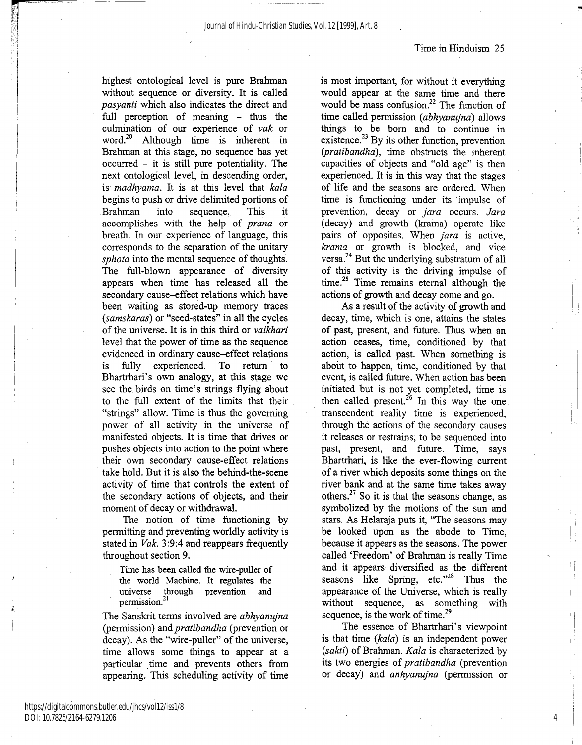highest ontological level is pure Brahman without sequence or diversity. It is called *pasyanti* which also indicates the direct and full perception of meaning - thus the culmination of our experience of *yak* or word.<sup>20</sup> Although time is inherent in Brahman at this stage, no sequence has yet occurred - it is still pure potentiality. The next ontological level, in descending order, is *madhyama.* It is at this level that *kala*  begins to push or drive delimited portions of Brahman into sequence. This it accomplishes with the help of *prana* or breath. In our experience of language, this corresponds to the separation of the unitary *sphota* into the mental sequence of thoughts. The full-blown appearance of diversity appears when time has released all the secondary cause-effect relations which have been waiting as stored-up memory traces *(samskaras)* or "seed-states" in all the cycles of the universe. It is in this third or *vaikhari*  level that the power of time as the sequence evidenced in ordinary cause-effect relations is fully experienced. To return to Bhartrhari's own analogy, at this stage we see the birds on time's strings flying about to the full extent of the limits that their "strings" allow. Time is thus the governing power of all activity in the universe of manifested objects. It is time that drives or pushes objects into action to the point where their own secondary cause-effect relations take hold. But it is also the behind-the-scene activity of time that controls the extent of the secondary actions of objects, and their moment of decay or withdrawal.

The notion of time functioning by permitting and preventing worldly activity is stated in *Vak.* 3:9:4 and reappears frequently throughout section 9.

Time has been called the wire-puller of the world Machine. It regulates the universe through prevention and permission.<sup>21</sup>

The Sanskrit terms involved are *abhyanujna*  (permission) and *pratibandha* (prevention or decay). As the "wire-puller" of the universe, time allows some things to appear at a particular time and prevents others from appearing. This scheduling activity of time

is most important, for without it everything would appear at the same time and there would be mass confusion.<sup>22</sup> The function of time called permission *(abhyanujna)* allows things to be born and to continue in existence.<sup>23</sup> By its other function, prevention *(pratibandha),* time obstructs the inherent capacities of objects and "old age" is then experienced. It is in this way that the stages of life and the seasons are ordered. When time is functioning under its impulse of prevention, decay or *jara* occurs. *lara*  (decay) and growth (krama) operate like pairs of opposites. When *jara* is active, *krama* or growth is blocked, and vice versa?4 But the underlying substratum of all of this activity is the driving impUlse of time.<sup>25</sup> Time remains eternal although the actions of growth and decay come and go.

As a result of the activity of growth and decay, time, which is one, attains the states of past, present, and future. Thus when an action ceases, time, conditioned by that action, is called past. When something is about to happen, time, conditioned by that event, is called future. When action has been initiated but is not yet completed, time is then called present.<sup>26</sup> In this way the one transcendent reality time is experienced, through the actions of the secondary causes it releases or restrains; to be sequenced into past, present, and future. Time, says Bhartrhari, is like the ever-flowing current of a river which deposits some things on the river bank and at the same time takes away others.<sup>27</sup> So it is that the seasons change, as symbolized by the motions of the sun and stars. As Helaraja puts it, "The seasons may be looked upon as the abode to Time, because it appears as the seasons. The power called 'Freedom' of Brahman is really Time and it appears diversified as the different seasons like Spring, etc. $n^{28}$  Thus the appearance of the Universe, which is really without sequence, as something with sequence, is the work of time.<sup>29</sup>

The essence, of Bhartrhari's viewpoint is that time *(kala)* is an independent power *(sakti)* of Brahman. *Kala* is characterized by its two energies of *pratibandha* (prevention or decay) and *anhyanujna* (permission or

4

I '.1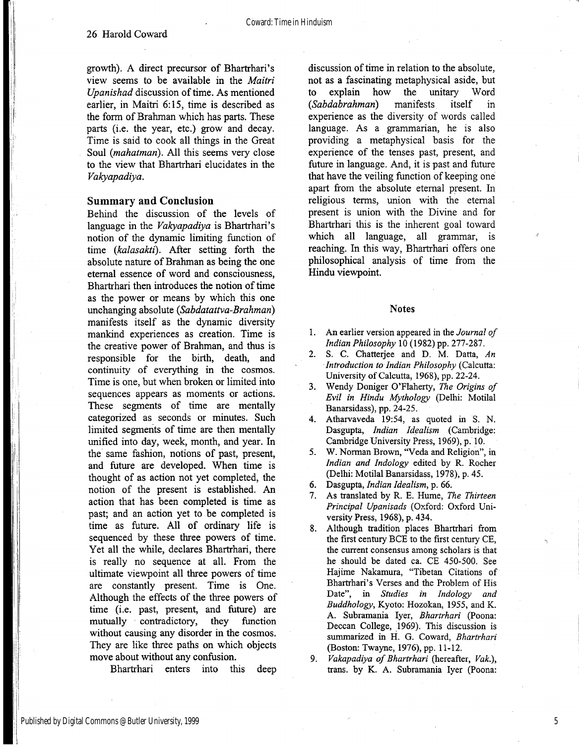growth). A direct precursor of Bhartrhari's view seems to be available in the *Maitri Upanishad* discussion of time. As mentioned earlier, in Maitri 6:15, time is described as the form of Brahman which has parts. These parts (i.e. the year, etc.) grow and decay. Time is said to cook all things in the Great Soul *(mahatman).* All this seems very close to the view that Bhartrhari elucidates in the *Vakyapadiya.* 

### Summary and Conclusion

Behind the discussion of the levels of language in the *Vakyapadiya* is Bhartrhari's notion of the dynamic limiting function of time *(kalasakti).* After setting forth the absolute nature of Brahman as being the one eternal essence of word and consciousness, Bhartrhari then introduces the notion of time as the power or means by which this one unchanging absolute *(Sabdatattva-Brahman)*  manifests itself as the dynamic diversity mankind experiences as creation. Time is the creative power of Brahman, and thus is responsible for the birth, death, and continuity of everything in the cosmos. Time is one, but when broken or limited into sequences appears as moments or actions. These segments of time are mentally categorized as seconds or minutes. Such limited segments of time are then mentally unified into day, week, month, and year. In the same fashion, notions of past, present, and future are developed. When time is thought of as action not yet completed, the notion of the present is established. An action that has been completed is time as past; and an action yet to be completed is time as future. All of ordinary life is sequenced by these three powers of time. Yet all the while, declares Bhartrhari, there is really no sequence at all. From the ultimate viewpoint all three powers of time are constantly present. Time is One. Although the effects of the three powers of time (i.e. past, present, and future) are mutually . contradictory, they function without causing any disorder in the cosmos. They are like three paths on which objects move about without any confusion.

Bhartrhari enters into this deep

discussion of time in relation to the absolute, not as a fascinating metaphysical aside, but to explain how the unitary Word *(Sabdabrahman)* manifests itself in experience as the diversity of words called language. As a grammarian, he is also providing a metaphysical basis for the experience of the tenses past, present, and future in language. And, it is past and future that have the veiling function of keeping one apart from the absolute eternal present. In religious terms, union with the eternal present is union with the Divine and for Bhartrhari this is the inherent goal toward which all language, all grammar, is reaching. In this way, Bhartrhari offers one philosophical analysis of time from the Hindu viewpoint.

#### **Notes**

- 1. An earlier version appeared in the *Journal of Indian Philosophy* 10 (1982) pp. 277-287.
- 2. S. C. Chatterjee and D. M. Datta, *An Introduction to Indian Philosophy (Calcutta:* University of Calcutta, 1968), pp. 22-24.
- 3. Wendy Doniger O'Flaherty, *The Origins of Evil in Hindu Mythology* (Delhi: Motilal Banarsidass), pp. 24-25.
- 4. Atharvaveda 19:54, as quoted in S. N. Dasgupta, *Indian Idealism* (Cambridge: Cambridge University Press, 1969), p. 10.
- 5. W. Norman Brown, "Veda and Religion", in *Indian and Indology* edited by R. Rocher (Delhi: Motilal Banarsidass, 1978), p. 45.
- 6. Dasgupta, *Indian Idealism,* p. 66.
- 7. As translated by R. E. Hume, *The Thirteen Principal Upanisads* (Oxford: Oxford University Press, 1968), p. 434.
- 8. Although tradition places Bhartrhari from the first century BCE to the first century CE, the current consensus among scholars is that he should be dated ca. CE 450-500. See Hajime Nakamura, "Tibetan Citations of Bhartrhari's Verses and the Problem of His Date", in *Studies in Indology and Buddhology,* Kyoto: Hozokan, 1955, and K. A. Subramania Iyer, *Bhartrhari* (Poona: Deccan College, 1969). This discussion is summarized in H. G. Coward, *Bhartrhari*  (Boston: Twayne, 1976), pp. 11-12.
- *9. Vakapadiya of Bhartrhari* (hereafter, *Vak.),*  trans. by K. A. Subramania Iyer (Poona:

5